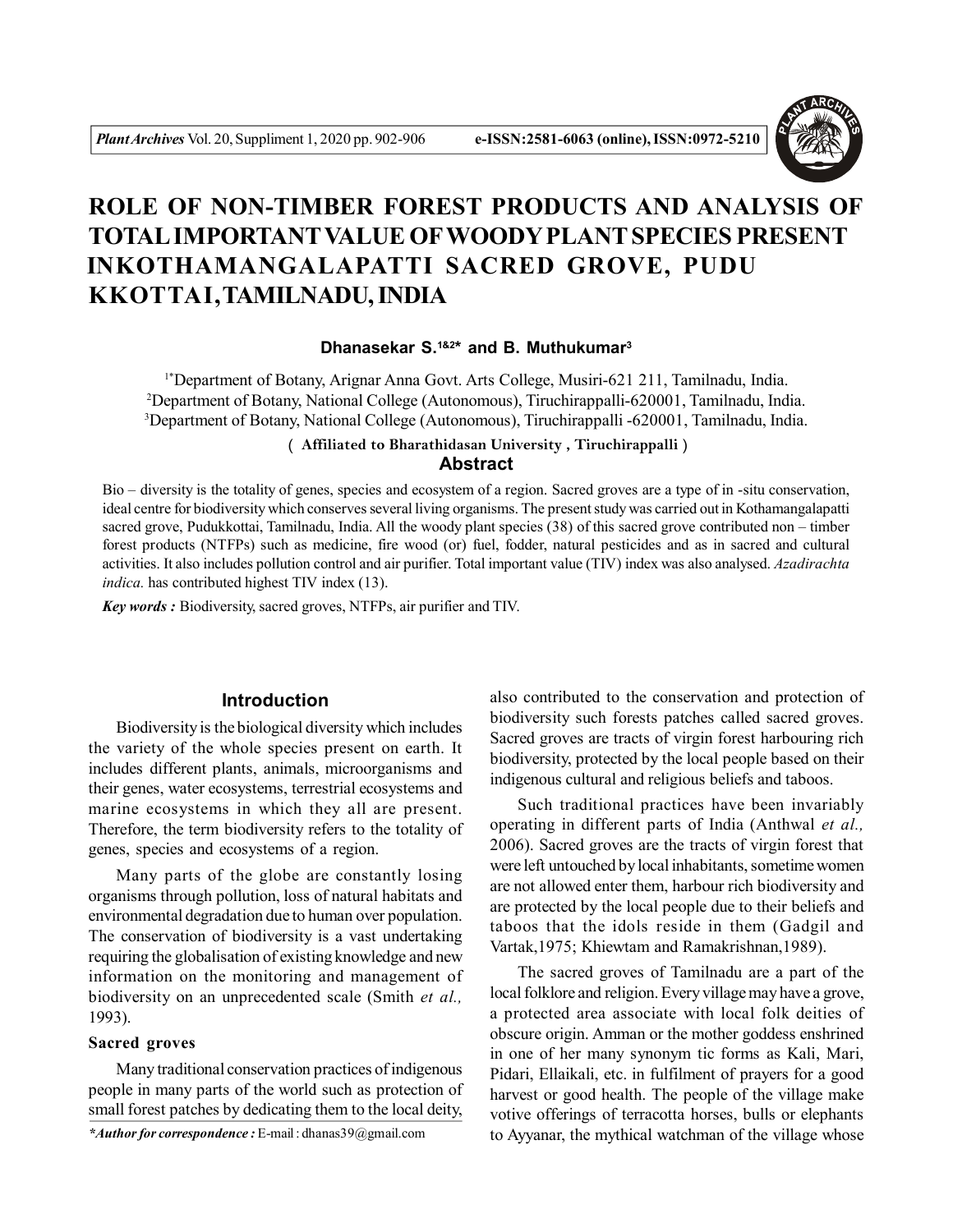

# **ROLE OF NON-TIMBER FOREST PRODUCTS AND ANALYSIS OF TOTAL IMPORTANT VALUE OF WOODY PLANT SPECIES PRESENT INKOTHAMANGALAPATTI SACRED GROVE, PUDU KKOTTAI,TAMILNADU, INDIA**

#### **Dhanasekar S.1&2\* and B. Muthukumar<sup>3</sup>**

1\*Department of Botany, Arignar Anna Govt. Arts College, Musiri-621 211, Tamilnadu, India. <sup>2</sup>Department of Botany, National College (Autonomous), Tiruchirappalli-620001, Tamilnadu, India. <sup>3</sup>Department of Botany, National College (Autonomous), Tiruchirappalli -620001, Tamilnadu, India.

# **Abstract ( Affiliated to Bharathidasan University , Tiruchirappalli )**

Bio – diversity is the totality of genes, species and ecosystem of a region. Sacred groves are a type of in -situ conservation, ideal centre for biodiversity which conserves several living organisms. The present study was carried out in Kothamangalapatti sacred grove, Pudukkottai, Tamilnadu, India. All the woody plant species (38) of this sacred grove contributed non – timber forest products (NTFPs) such as medicine, fire wood (or) fuel, fodder, natural pesticides and as in sacred and cultural activities. It also includes pollution control and air purifier. Total important value (TIV) index was also analysed. *Azadirachta indica.* has contributed highest TIV index (13).

*Key words :* Biodiversity, sacred groves, NTFPs, air purifier and TIV.

## **Introduction**

Biodiversity is the biological diversity which includes the variety of the whole species present on earth. It includes different plants, animals, microorganisms and their genes, water ecosystems, terrestrial ecosystems and marine ecosystems in which they all are present. Therefore, the term biodiversity refers to the totality of genes, species and ecosystems of a region.

Many parts of the globe are constantly losing organisms through pollution, loss of natural habitats and environmental degradation due to human over population. The conservation of biodiversity is a vast undertaking requiring the globalisation of existing knowledge and new information on the monitoring and management of biodiversity on an unprecedented scale (Smith *et al.,* 1993).

## **Sacred groves**

Many traditional conservation practices of indigenous people in many parts of the world such as protection of small forest patches by dedicating them to the local deity,

*\*Author for correspondence :* E-mail : dhanas39@gmail.com

also contributed to the conservation and protection of biodiversity such forests patches called sacred groves. Sacred groves are tracts of virgin forest harbouring rich biodiversity, protected by the local people based on their indigenous cultural and religious beliefs and taboos.

Such traditional practices have been invariably operating in different parts of India (Anthwal *et al.,* 2006). Sacred groves are the tracts of virgin forest that were left untouched by local inhabitants, sometime women are not allowed enter them, harbour rich biodiversity and are protected by the local people due to their beliefs and taboos that the idols reside in them (Gadgil and Vartak,1975; Khiewtam and Ramakrishnan,1989).

The sacred groves of Tamilnadu are a part of the local folklore and religion. Every village may have a grove, a protected area associate with local folk deities of obscure origin. Amman or the mother goddess enshrined in one of her many synonym tic forms as Kali, Mari, Pidari, Ellaikali, etc. in fulfilment of prayers for a good harvest or good health. The people of the village make votive offerings of terracotta horses, bulls or elephants to Ayyanar, the mythical watchman of the village whose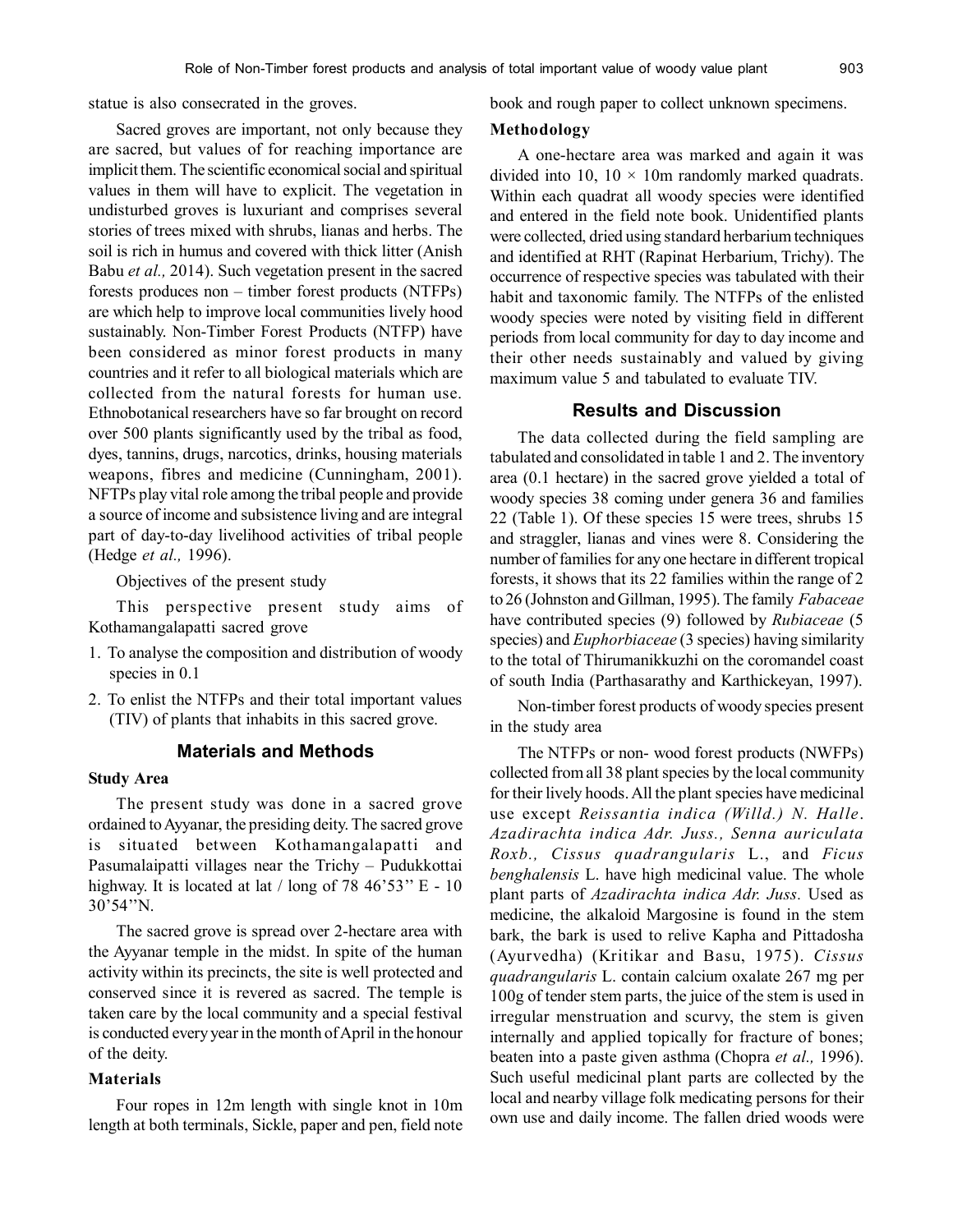statue is also consecrated in the groves.

Sacred groves are important, not only because they are sacred, but values of for reaching importance are implicit them. The scientific economical social and spiritual values in them will have to explicit. The vegetation in undisturbed groves is luxuriant and comprises several stories of trees mixed with shrubs, lianas and herbs. The soil is rich in humus and covered with thick litter (Anish Babu *et al.,* 2014). Such vegetation present in the sacred forests produces non – timber forest products (NTFPs) are which help to improve local communities lively hood sustainably. Non-Timber Forest Products (NTFP) have been considered as minor forest products in many countries and it refer to all biological materials which are collected from the natural forests for human use. Ethnobotanical researchers have so far brought on record over 500 plants significantly used by the tribal as food, dyes, tannins, drugs, narcotics, drinks, housing materials weapons, fibres and medicine (Cunningham, 2001). NFTPs play vital role among the tribal people and provide a source of income and subsistence living and are integral part of day-to-day livelihood activities of tribal people (Hedge *et al.,* 1996).

Objectives of the present study

This perspective present study aims of Kothamangalapatti sacred grove

- 1. To analyse the composition and distribution of woody species in 0.1
- 2. To enlist the NTFPs and their total important values (TIV) of plants that inhabits in this sacred grove.

### **Materials and Methods**

#### **Study Area**

The present study was done in a sacred grove ordained to Ayyanar, the presiding deity. The sacred grove is situated between Kothamangalapatti and Pasumalaipatti villages near the Trichy – Pudukkottai highway. It is located at lat  $/$  long of 78 46'53" E - 10 30'54''N.

The sacred grove is spread over 2-hectare area with the Ayyanar temple in the midst. In spite of the human activity within its precincts, the site is well protected and conserved since it is revered as sacred. The temple is taken care by the local community and a special festival is conducted every year in the month of April in the honour of the deity.

#### **Materials**

Four ropes in 12m length with single knot in 10m length at both terminals, Sickle, paper and pen, field note book and rough paper to collect unknown specimens.

#### **Methodology**

A one-hectare area was marked and again it was divided into 10,  $10 \times 10$ m randomly marked quadrats. Within each quadrat all woody species were identified and entered in the field note book. Unidentified plants were collected, dried using standard herbarium techniques and identified at RHT (Rapinat Herbarium, Trichy). The occurrence of respective species was tabulated with their habit and taxonomic family. The NTFPs of the enlisted woody species were noted by visiting field in different periods from local community for day to day income and their other needs sustainably and valued by giving maximum value 5 and tabulated to evaluate TIV.

## **Results and Discussion**

The data collected during the field sampling are tabulated and consolidated in table 1 and 2. The inventory area (0.1 hectare) in the sacred grove yielded a total of woody species 38 coming under genera 36 and families 22 (Table 1). Of these species 15 were trees, shrubs 15 and straggler, lianas and vines were 8. Considering the number of families for any one hectare in different tropical forests, it shows that its 22 families within the range of 2 to 26 (Johnston and Gillman, 1995). The family *Fabaceae* have contributed species (9) followed by *Rubiaceae* (5 species) and *Euphorbiaceae* (3 species) having similarity to the total of Thirumanikkuzhi on the coromandel coast of south India (Parthasarathy and Karthickeyan, 1997).

Non-timber forest products of woody species present in the study area

The NTFPs or non- wood forest products (NWFPs) collected from all 38 plant species by the local community for their lively hoods. All the plant species have medicinal use except *Reissantia indica (Willd.) N. Halle*. *Azadirachta indica Adr. Juss., Senna auriculata Roxb., Cissus quadrangularis* L., and *Ficus benghalensis* L. have high medicinal value. The whole plant parts of *Azadirachta indica Adr. Juss.* Used as medicine, the alkaloid Margosine is found in the stem bark, the bark is used to relive Kapha and Pittadosha (Ayurvedha) (Kritikar and Basu, 1975). *Cissus quadrangularis* L. contain calcium oxalate 267 mg per 100g of tender stem parts, the juice of the stem is used in irregular menstruation and scurvy, the stem is given internally and applied topically for fracture of bones; beaten into a paste given asthma (Chopra *et al.,* 1996). Such useful medicinal plant parts are collected by the local and nearby village folk medicating persons for their own use and daily income. The fallen dried woods were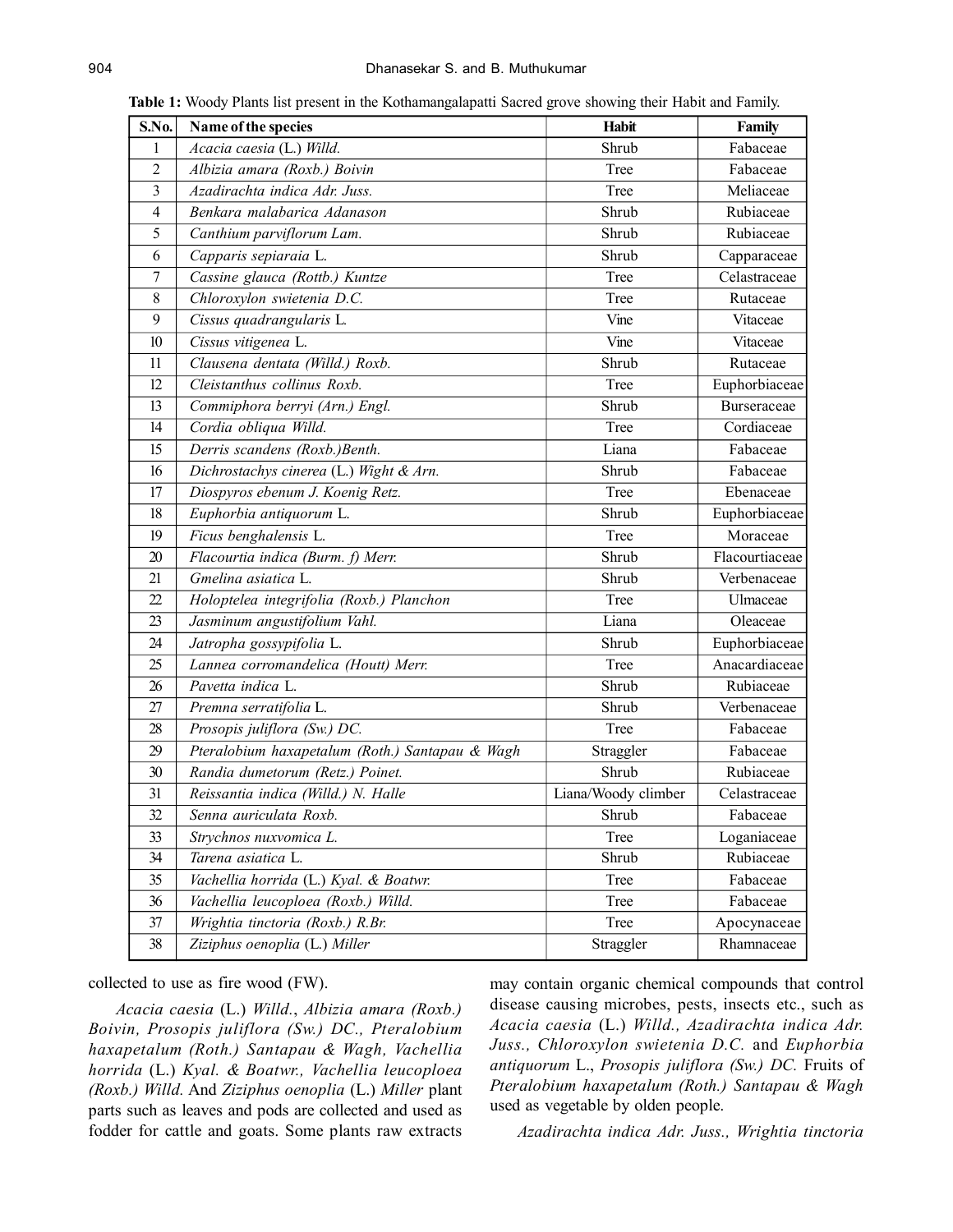| S.No.          | Name of the species                             | Habit               | Family         |  |
|----------------|-------------------------------------------------|---------------------|----------------|--|
| 1              | Acacia caesia (L.) Willd.                       | Shrub               | Fabaceae       |  |
| $\overline{2}$ | Albizia amara (Roxb.) Boivin                    | Tree                | Fabaceae       |  |
| 3              | Azadirachta indica Adr. Juss.                   | Tree                | Meliaceae      |  |
| 4              | Benkara malabarica Adanason                     | Shrub               | Rubiaceae      |  |
| 5              | Canthium parviflorum Lam.                       | Shrub               | Rubiaceae      |  |
| 6              | Capparis sepiaraia L.                           | Shrub               | Capparaceae    |  |
| 7              | Cassine glauca (Rottb.) Kuntze                  | Tree                | Celastraceae   |  |
| 8              | Chloroxylon swietenia D.C.                      | Tree                | Rutaceae       |  |
| 9              | Cissus quadrangularis L.                        | Vine                | Vitaceae       |  |
| 10             | Cissus vitigenea L.                             | Vine                | Vitaceae       |  |
| 11             | Clausena dentata (Willd.) Roxb.                 | Shrub               | Rutaceae       |  |
| 12             | Cleistanthus collinus Roxb.                     | Tree                | Euphorbiaceae  |  |
| 13             | Commiphora berryi (Arn.) Engl.                  | Shrub               | Burseraceae    |  |
| 14             | Cordia obliqua Willd.                           | Tree                | Cordiaceae     |  |
| 15             | Derris scandens (Roxb.)Benth.                   | Liana               | Fabaceae       |  |
| 16             | Dichrostachys cinerea (L.) Wight & Arn.         | Shrub               | Fabaceae       |  |
| 17             | Diospyros ebenum J. Koenig Retz.                | Tree                | Ebenaceae      |  |
| 18             | Euphorbia antiquorum L.                         | Shrub               | Euphorbiaceae  |  |
| 19             | Ficus benghalensis L.                           | Tree                | Moraceae       |  |
| 20             | Flacourtia indica (Burm. f) Merr.               | Shrub               | Flacourtiaceae |  |
| 21             | Gmelina asiatica L.                             | Shrub               | Verbenaceae    |  |
| 22             | Holoptelea integrifolia (Roxb.) Planchon        | Tree                | Ulmaceae       |  |
| 23             | Jasminum angustifolium Vahl.                    | Liana               | Oleaceae       |  |
| 24             | Jatropha gossypifolia L.                        | Shrub               | Euphorbiaceae  |  |
| 25             | Lannea corromandelica (Houtt) Merr.             | Tree                | Anacardiaceae  |  |
| 26             | Pavetta indica L.                               | Shrub               | Rubiaceae      |  |
| 27             | Premna serratifolia L.                          | Shrub               | Verbenaceae    |  |
| 28             | Prosopis juliflora (Sw.) DC.                    | Tree                | Fabaceae       |  |
| 29             | Pteralobium haxapetalum (Roth.) Santapau & Wagh | Straggler           | Fabaceae       |  |
| 30             | Randia dumetorum (Retz.) Poinet.                | Shrub               | Rubiaceae      |  |
| 31             | Reissantia indica (Willd.) N. Halle             | Liana/Woody climber | Celastraceae   |  |
| 32             | Senna auriculata Roxb.                          | Shrub               | Fabaceae       |  |
| 33             | Strychnos nuxvomica L.                          | Tree                | Loganiaceae    |  |
| 34             | Tarena asiatica L.                              | Shrub               | Rubiaceae      |  |
| 35             | Vachellia horrida (L.) Kyal. & Boatwr.          | Tree                | Fabaceae       |  |
| 36             | Vachellia leucoploea (Roxb.) Willd.             | Tree                | Fabaceae       |  |
| 37             | Wrightia tinctoria (Roxb.) R.Br.                | Tree                | Apocynaceae    |  |
| 38             | Ziziphus oenoplia (L.) Miller                   | Straggler           | Rhamnaceae     |  |

**Table 1:** Woody Plants list present in the Kothamangalapatti Sacred grove showing their Habit and Family.

collected to use as fire wood (FW).

*Acacia caesia* (L.) *Willd.*, *Albizia amara (Roxb.) Boivin, Prosopis juliflora (Sw.) DC., Pteralobium haxapetalum (Roth.) Santapau & Wagh, Vachellia horrida* (L.) *Kyal. & Boatwr., Vachellia leucoploea (Roxb.) Willd.* And *Ziziphus oenoplia* (L.) *Miller* plant parts such as leaves and pods are collected and used as fodder for cattle and goats. Some plants raw extracts may contain organic chemical compounds that control disease causing microbes, pests, insects etc., such as *Acacia caesia* (L.) *Willd., Azadirachta indica Adr. Juss., Chloroxylon swietenia D.C.* and *Euphorbia antiquorum* L., *Prosopis juliflora (Sw.) DC.* Fruits of *Pteralobium haxapetalum (Roth.) Santapau & Wagh* used as vegetable by olden people.

*Azadirachta indica Adr. Juss., Wrightia tinctoria*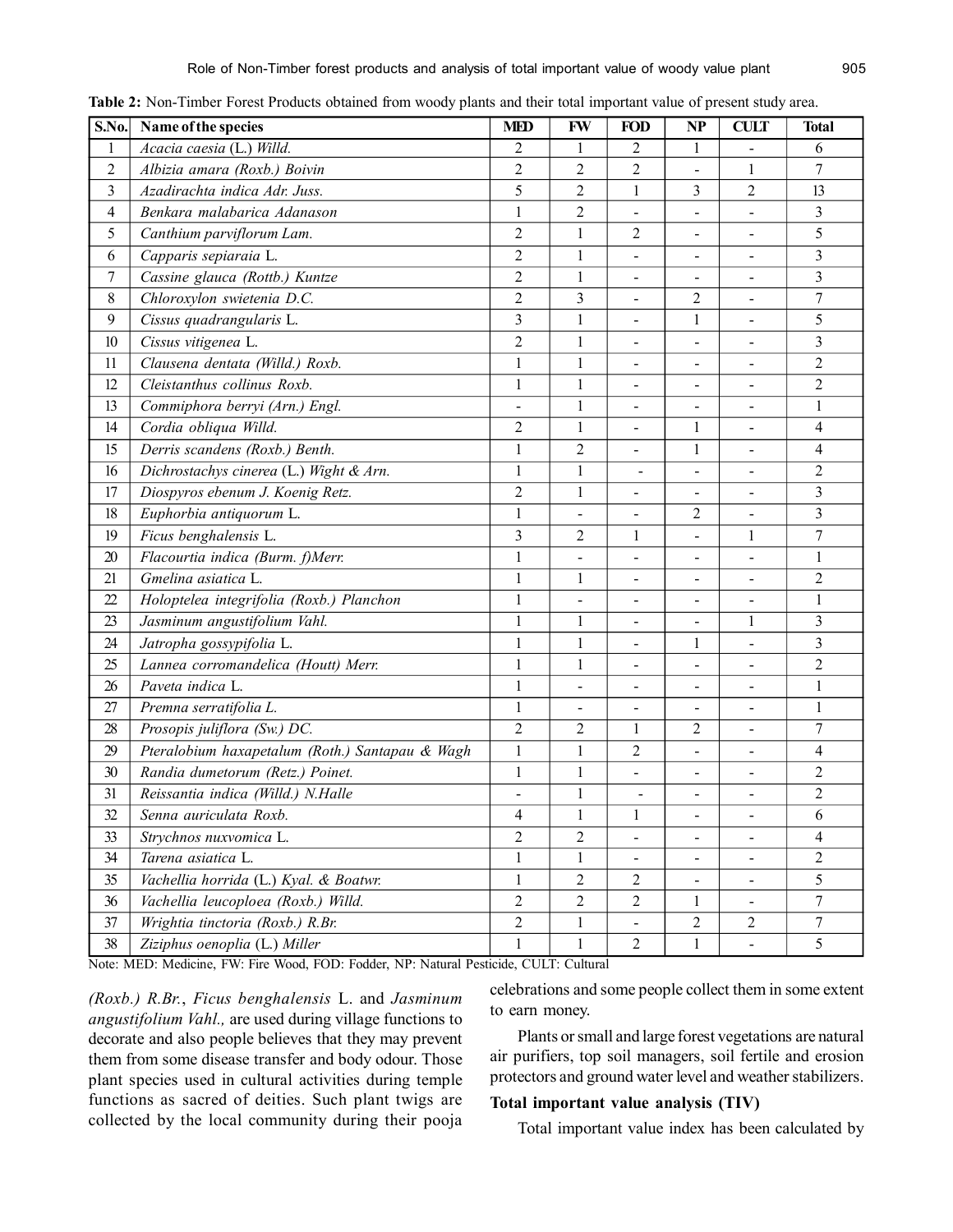| S.No.          | Name of the species                             | <b>MED</b>     | <b>FW</b>      | <b>FOD</b>                   | NP             | <b>CULT</b>                  | <b>Total</b>            |
|----------------|-------------------------------------------------|----------------|----------------|------------------------------|----------------|------------------------------|-------------------------|
| $\mathbf{1}$   | Acacia caesia (L.) Willd.                       | 2              | 1              | $\overline{c}$               | 1              |                              | 6                       |
| 2              | Albizia amara (Roxb.) Boivin                    | 2              | 2              | 2                            |                | 1                            | 7                       |
| $\mathfrak{Z}$ | Azadirachta indica Adr. Juss.                   | 5              | $\overline{c}$ | 1                            | 3              | 2                            | 13                      |
| 4              | Benkara malabarica Adanason                     | $\mathbf{1}$   | $\overline{c}$ | $\frac{1}{2}$                | $\blacksquare$ |                              | 3                       |
| 5              | Canthium parviflorum Lam.                       | $\overline{2}$ | 1              | 2                            | $\sim$         |                              | 5                       |
| 6              | Capparis sepiaraia L.                           | $\overline{2}$ | $\mathbf{1}$   | $\qquad \qquad \blacksquare$ | $\blacksquare$ |                              | $\overline{\mathbf{3}}$ |
| 7              | Cassine glauca (Rottb.) Kuntze                  | $\overline{2}$ | 1              | Ξ,                           |                |                              | 3                       |
| 8              | Chloroxylon swietenia D.C.                      | $\overline{2}$ | 3              | $\blacksquare$               | 2              |                              | $\boldsymbol{7}$        |
| 9              | Cissus quadrangularis L.                        | $\overline{3}$ | $\mathbf{1}$   | $\blacksquare$               | $\mathbf{1}$   |                              | 5                       |
| 10             | Cissus vitigenea L.                             | $\overline{2}$ | $\mathbf{1}$   | $\frac{1}{2}$                | $\blacksquare$ | $\blacksquare$               | $\overline{\mathbf{3}}$ |
| 11             | Clausena dentata (Willd.) Roxb.                 | $\mathbf{1}$   | $\mathbf{1}$   | $\qquad \qquad \blacksquare$ | $\blacksquare$ |                              | $\overline{2}$          |
| 12             | Cleistanthus collinus Roxb.                     | $\mathbf{1}$   | $\mathbf{1}$   |                              | $\blacksquare$ |                              | $\overline{2}$          |
| 13             | Commiphora berryi (Arn.) Engl.                  | ä,             | $\mathbf{1}$   | $\qquad \qquad \blacksquare$ | $\blacksquare$ |                              | 1                       |
| 14             | Cordia obliqua Willd.                           | $\overline{2}$ | $\mathbf{1}$   | $\equiv$                     | 1              |                              | 4                       |
| 15             | Derris scandens (Roxb.) Benth.                  | $\mathbf{1}$   | $\overline{c}$ | $\overline{a}$               | $\mathbf{1}$   |                              | 4                       |
| 16             | Dichrostachys cinerea (L.) Wight & Arn.         | $\mathbf{1}$   | $\mathbf{1}$   | $\overline{\phantom{0}}$     | $\blacksquare$ |                              | $\overline{2}$          |
| 17             | Diospyros ebenum J. Koenig Retz.                | $\overline{2}$ | $\mathbf{1}$   | $\blacksquare$               | $\blacksquare$ |                              | 3                       |
| 18             | Euphorbia antiquorum L.                         | $\mathbf{1}$   | $\overline{a}$ |                              | 2              |                              | $\overline{\mathbf{3}}$ |
| 19             | Ficus benghalensis L.                           | 3              | $\overline{2}$ | 1                            | $\blacksquare$ | 1                            | $\overline{7}$          |
| 20             | Flacourtia indica (Burm. f)Merr.                | $\mathbf{1}$   | $\blacksquare$ | $\blacksquare$               | $\blacksquare$ |                              | 1                       |
| 21             | Gmelina asiatica L.                             | $\mathbf{1}$   | $\mathbf{1}$   | $\frac{1}{2}$                | $\blacksquare$ |                              | $\overline{2}$          |
| 22             | Holoptelea integrifolia (Roxb.) Planchon        | $\mathbf{1}$   |                | $\blacksquare$               | $\blacksquare$ |                              | $\mathbf{1}$            |
| 23             | Jasminum angustifolium Vahl.                    | 1              | $\mathbf{1}$   | $\blacksquare$               | $\blacksquare$ | 1                            | 3                       |
| 24             | Jatropha gossypifolia L.                        | $\mathbf{1}$   | $\mathbf{1}$   | $\frac{1}{2}$                | 1              | $\frac{1}{2}$                | $\overline{3}$          |
| 25             | Lannea corromandelica (Houtt) Merr.             | $\mathbf{1}$   | $\mathbf{1}$   |                              |                |                              | $\overline{2}$          |
| 26             | Paveta indica L.                                | 1              | ä,             | $\blacksquare$               | $\blacksquare$ |                              | 1                       |
| 27             | Premna serratifolia L.                          | $\mathbf{1}$   | L.             | $\blacksquare$               | $\sim$         |                              | $\mathbf{1}$            |
| 28             | Prosopis juliflora (Sw.) DC.                    | $\overline{2}$ | $\overline{c}$ | $\mathbf{1}$                 | 2              |                              | $\overline{7}$          |
| 29             | Pteralobium haxapetalum (Roth.) Santapau & Wagh | $\mathbf{1}$   | $\mathbf{1}$   | $\overline{c}$               | $\blacksquare$ | $\blacksquare$               | 4                       |
| 30             | Randia dumetorum (Retz.) Poinet.                | 1              | $\mathbf{1}$   | $\blacksquare$               |                |                              | 2                       |
| 31             | Reissantia indica (Willd.) N.Halle              | L,             | $\mathbf 1$    | $\overline{\phantom{0}}$     | $\blacksquare$ |                              | $\overline{c}$          |
| 32             | Senna auriculata Roxb.                          | 4              | $\,1$          | $\mathbf{1}$                 | $\blacksquare$ | $\qquad \qquad \blacksquare$ | 6                       |
| 33             | Strychnos nuxvomica L.                          | $\overline{2}$ | $\overline{2}$ | $\blacksquare$               | $\blacksquare$ | $\overline{\phantom{a}}$     | $\overline{4}$          |
| 34             | Tarena asiatica L.                              | $\mathbf{1}$   | $\mathbf{1}$   |                              |                |                              | $\overline{2}$          |
| 35             | Vachellia horrida (L.) Kyal. & Boatwr.          | $\mathbf{1}$   | $\overline{c}$ | $\overline{2}$               |                |                              | 5                       |
| 36             | Vachellia leucoploea (Roxb.) Willd.             | $\overline{2}$ | 2              | $\overline{2}$               | 1              |                              | 7                       |
| 37             | Wrightia tinctoria (Roxb.) R.Br.                | $\overline{2}$ | 1              | $\blacksquare$               | $\overline{2}$ | $\overline{2}$               | $\tau$                  |
| 38             | Ziziphus oenoplia (L.) Miller                   | $\mathbf{1}$   | $\mathbf{1}$   | $\overline{2}$               | $\mathbf{1}$   |                              | 5                       |

**Table 2:** Non-Timber Forest Products obtained from woody plants and their total important value of present study area.

Note: MED: Medicine, FW: Fire Wood, FOD: Fodder, NP: Natural Pesticide, CULT: Cultural

*(Roxb.) R.Br.*, *Ficus benghalensis* L. and *Jasminum angustifolium Vahl.,* are used during village functions to decorate and also people believes that they may prevent them from some disease transfer and body odour. Those plant species used in cultural activities during temple functions as sacred of deities. Such plant twigs are collected by the local community during their pooja

celebrations and some people collect them in some extent to earn money.

Plants or small and large forest vegetations are natural air purifiers, top soil managers, soil fertile and erosion protectors and ground water level and weather stabilizers.

## **Total important value analysis (TIV)**

Total important value index has been calculated by